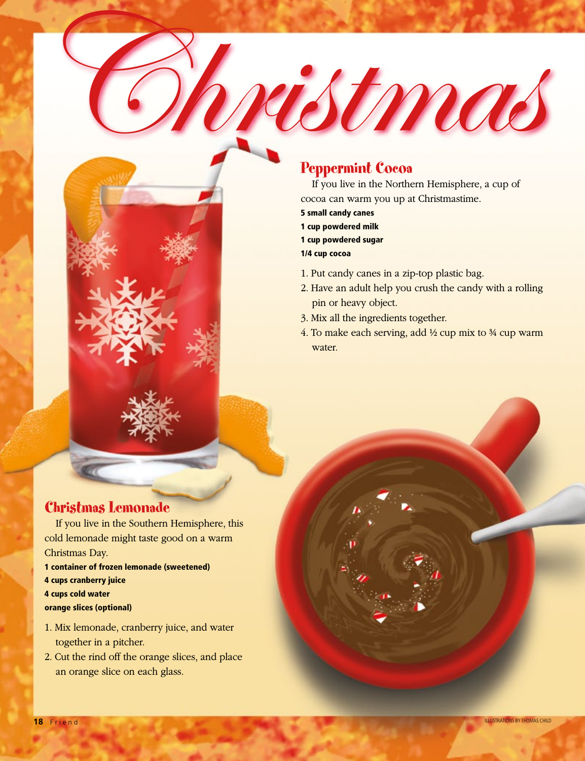# Peppermint Cocoa

If you live in the Northern Hemisphere, a cup of cocoa can warm you up at Christmastime.

ristmas

- 5 small candy canes
- 1 cup powdered milk
- 1 cup powdered sugar

1/4 cup cocoa

- 1. Put candy canes in a zip-top plastic bag.
- 2. Have an adult help you crush the candy with a rolling pin or heavy object.
- 3. Mix all the ingredients together.
- 4. To make each serving, add  $\frac{1}{2}$  cup mix to  $\frac{3}{4}$  cup warm water.

### Christmas Lemonade

If you live in the Southern Hemisphere, this cold lemonade might taste good on a warm Christmas Day.

1 container of frozen lemonade (sweetened)

- 4 cups cranberry juice
- 4 cups cold water
- orange slices (optional)
- 1. Mix lemonade, cranberry juice, and water together in a pitcher.
- 2. Cut the rind off the orange slices, and place an orange slice on each glass.